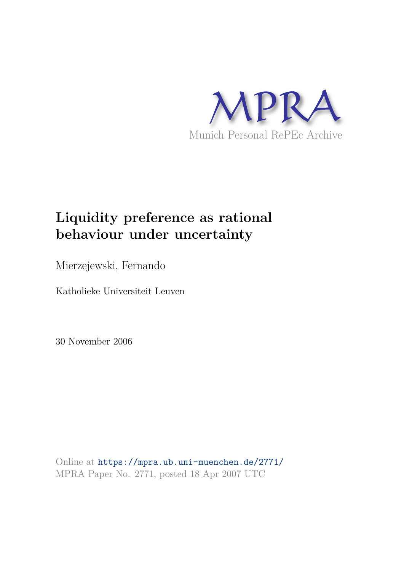

## **Liquidity preference as rational behaviour under uncertainty**

Mierzejewski, Fernando

Katholieke Universiteit Leuven

30 November 2006

Online at https://mpra.ub.uni-muenchen.de/2771/ MPRA Paper No. 2771, posted 18 Apr 2007 UTC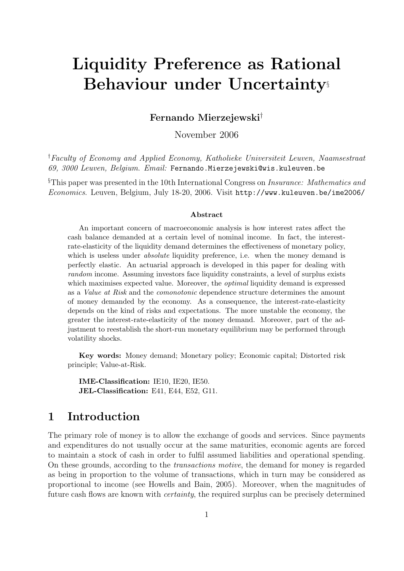# Liquidity Preference as Rational Behaviour under Uncertainty§

Fernando Mierzejewski†

November 2006

†Faculty of Economy and Applied Economy, Katholieke Universiteit Leuven, Naamsestraat 69, 3000 Leuven, Belgium. Email: Fernando.Mierzejewski@wis.kuleuven.be

§This paper was presented in the 10th International Congress on Insurance: Mathematics and Economics. Leuven, Belgium, July 18-20, 2006. Visit http://www.kuleuven.be/ime2006/

#### Abstract

An important concern of macroeconomic analysis is how interest rates affect the cash balance demanded at a certain level of nominal income. In fact, the interestrate-elasticity of the liquidity demand determines the effectiveness of monetary policy, which is useless under *absolute* liquidity preference, i.e. when the money demand is perfectly elastic. An actuarial approach is developed in this paper for dealing with random income. Assuming investors face liquidity constraints, a level of surplus exists which maximises expected value. Moreover, the *optimal* liquidity demand is expressed as a Value at Risk and the comonotonic dependence structure determines the amount of money demanded by the economy. As a consequence, the interest-rate-elasticity depends on the kind of risks and expectations. The more unstable the economy, the greater the interest-rate-elasticity of the money demand. Moreover, part of the adjustment to reestablish the short-run monetary equilibrium may be performed through volatility shocks.

Key words: Money demand; Monetary policy; Economic capital; Distorted risk principle; Value-at-Risk.

IME-Classification: IE10, IE20, IE50. JEL-Classification: E41, E44, E52, G11.

#### 1 Introduction

The primary role of money is to allow the exchange of goods and services. Since payments and expenditures do not usually occur at the same maturities, economic agents are forced to maintain a stock of cash in order to fulfil assumed liabilities and operational spending. On these grounds, according to the transactions motive, the demand for money is regarded as being in proportion to the volume of transactions, which in turn may be considered as proportional to income (see Howells and Bain, 2005). Moreover, when the magnitudes of future cash flows are known with certainty, the required surplus can be precisely determined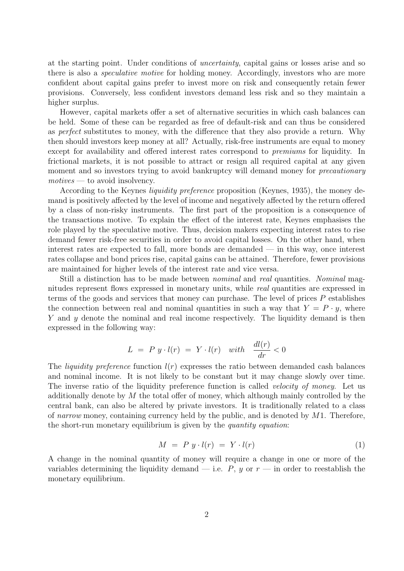at the starting point. Under conditions of uncertainty, capital gains or losses arise and so there is also a speculative motive for holding money. Accordingly, investors who are more confident about capital gains prefer to invest more on risk and consequently retain fewer provisions. Conversely, less confident investors demand less risk and so they maintain a higher surplus.

However, capital markets offer a set of alternative securities in which cash balances can be held. Some of these can be regarded as free of default-risk and can thus be considered as perfect substitutes to money, with the difference that they also provide a return. Why then should investors keep money at all? Actually, risk-free instruments are equal to money except for availability and offered interest rates correspond to premiums for liquidity. In frictional markets, it is not possible to attract or resign all required capital at any given moment and so investors trying to avoid bankruptcy will demand money for *precautionary*  $motives$  — to avoid insolvency.

According to the Keynes liquidity preference proposition (Keynes, 1935), the money demand is positively affected by the level of income and negatively affected by the return offered by a class of non-risky instruments. The first part of the proposition is a consequence of the transactions motive. To explain the effect of the interest rate, Keynes emphasises the role played by the speculative motive. Thus, decision makers expecting interest rates to rise demand fewer risk-free securities in order to avoid capital losses. On the other hand, when interest rates are expected to fall, more bonds are demanded — in this way, once interest rates collapse and bond prices rise, capital gains can be attained. Therefore, fewer provisions are maintained for higher levels of the interest rate and vice versa.

Still a distinction has to be made between nominal and real quantities. Nominal magnitudes represent flows expressed in monetary units, while real quantities are expressed in terms of the goods and services that money can purchase. The level of prices  $P$  establishes the connection between real and nominal quantities in such a way that  $Y = P \cdot y$ , where Y and y denote the nominal and real income respectively. The liquidity demand is then expressed in the following way:

$$
L = P y \cdot l(r) = Y \cdot l(r) \quad with \quad \frac{dl(r)}{dr} < 0
$$

The *liquidity preference* function  $l(r)$  expresses the ratio between demanded cash balances and nominal income. It is not likely to be constant but it may change slowly over time. The inverse ratio of the liquidity preference function is called *velocity of money*. Let us additionally denote by  $M$  the total offer of money, which although mainly controlled by the central bank, can also be altered by private investors. It is traditionally related to a class of narrow money, containing currency held by the public, and is denoted by  $M1$ . Therefore, the short-run monetary equilibrium is given by the quantity equation:

$$
M = P y \cdot l(r) = Y \cdot l(r) \tag{1}
$$

A change in the nominal quantity of money will require a change in one or more of the variables determining the liquidity demand — i.e.  $P$ ,  $y$  or  $r$  — in order to reestablish the monetary equilibrium.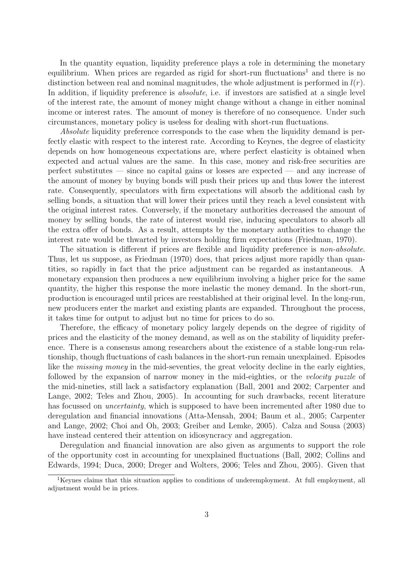In the quantity equation, liquidity preference plays a role in determining the monetary equilibrium. When prices are regarded as rigid for short-run fluctuations<sup>1</sup> and there is no distinction between real and nominal magnitudes, the whole adjustment is performed in  $l(r)$ . In addition, if liquidity preference is *absolute*, i.e. if investors are satisfied at a single level of the interest rate, the amount of money might change without a change in either nominal income or interest rates. The amount of money is therefore of no consequence. Under such circumstances, monetary policy is useless for dealing with short-run fluctuations.

Absolute liquidity preference corresponds to the case when the liquidity demand is perfectly elastic with respect to the interest rate. According to Keynes, the degree of elasticity depends on how homogeneous expectations are, where perfect elasticity is obtained when expected and actual values are the same. In this case, money and risk-free securities are perfect substitutes — since no capital gains or losses are expected — and any increase of the amount of money by buying bonds will push their prices up and thus lower the interest rate. Consequently, speculators with firm expectations will absorb the additional cash by selling bonds, a situation that will lower their prices until they reach a level consistent with the original interest rates. Conversely, if the monetary authorities decreased the amount of money by selling bonds, the rate of interest would rise, inducing speculators to absorb all the extra offer of bonds. As a result, attempts by the monetary authorities to change the interest rate would be thwarted by investors holding firm expectations (Friedman, 1970).

The situation is different if prices are flexible and liquidity preference is non-absolute. Thus, let us suppose, as Friedman (1970) does, that prices adjust more rapidly than quantities, so rapidly in fact that the price adjustment can be regarded as instantaneous. A monetary expansion then produces a new equilibrium involving a higher price for the same quantity, the higher this response the more inelastic the money demand. In the short-run, production is encouraged until prices are reestablished at their original level. In the long-run, new producers enter the market and existing plants are expanded. Throughout the process, it takes time for output to adjust but no time for prices to do so.

Therefore, the efficacy of monetary policy largely depends on the degree of rigidity of prices and the elasticity of the money demand, as well as on the stability of liquidity preference. There is a consensus among researchers about the existence of a stable long-run relationship, though fluctuations of cash balances in the short-run remain unexplained. Episodes like the *missing money* in the mid-seventies, the great velocity decline in the early eighties, followed by the expansion of narrow money in the mid-eighties, or the velocity puzzle of the mid-nineties, still lack a satisfactory explanation (Ball, 2001 and 2002; Carpenter and Lange, 2002; Teles and Zhou, 2005). In accounting for such drawbacks, recent literature has focussed on *uncertainty*, which is supposed to have been incremented after 1980 due to deregulation and financial innovations (Atta-Mensah, 2004; Baum et al., 2005; Carpenter and Lange, 2002; Choi and Oh, 2003; Greiber and Lemke, 2005). Calza and Sousa (2003) have instead centered their attention on idiosyncracy and aggregation.

Deregulation and financial innovation are also given as arguments to support the role of the opportunity cost in accounting for unexplained fluctuations (Ball, 2002; Collins and Edwards, 1994; Duca, 2000; Dreger and Wolters, 2006; Teles and Zhou, 2005). Given that

<sup>&</sup>lt;sup>1</sup>Keynes claims that this situation applies to conditions of underemployment. At full employment, all adjustment would be in prices.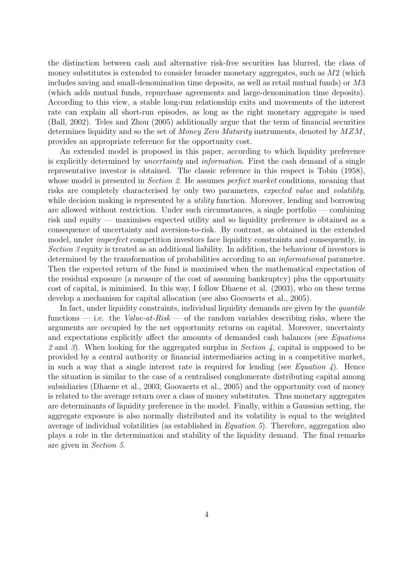the distinction between cash and alternative risk-free securities has blurred, the class of money substitutes is extended to consider broader monetary aggregates, such as  $M2$  (which includes saving and small-denomination time deposits, as well as retail mutual funds) or M3 (which adds mutual funds, repurchase agreements and large-denomination time deposits). According to this view, a stable long-run relationship exits and movements of the interest rate can explain all short-run episodes, as long as the right monetary aggregate is used (Ball, 2002). Teles and Zhou (2005) additionally argue that the term of financial securities determines liquidity and so the set of Money Zero Maturity instruments, denoted by  $MZM$ , provides an appropriate reference for the opportunity cost.

An extended model is proposed in this paper, according to which liquidity preference is explicitly determined by uncertainty and information. First the cash demand of a single representative investor is obtained. The classic reference in this respect is Tobin (1958), whose model is presented in *Section 2*. He assumes *perfect market* conditions, meaning that risks are completely characterised by only two parameters, expected value and volatility, while decision making is represented by a *utility* function. Moreover, lending and borrowing are allowed without restriction. Under such circumstances, a single portfolio — combining risk and equity — maximises expected utility and so liquidity preference is obtained as a consequence of uncertainty and aversion-to-risk. By contrast, as obtained in the extended model, under imperfect competition investors face liquidity constraints and consequently, in Section 3 equity is treated as an additional liability. In addition, the behaviour of investors is determined by the transformation of probabilities according to an informational parameter. Then the expected return of the fund is maximised when the mathematical expectation of the residual exposure (a measure of the cost of assuming bankruptcy) plus the opportunity cost of capital, is minimised. In this way, I follow Dhaene et al. (2003), who on these terms develop a mechanism for capital allocation (see also Goovaerts et al., 2005).

In fact, under liquidity constraints, individual liquidity demands are given by the *quantile* functions — i.e. the Value-at-Risk — of the random variables describing risks, where the arguments are occupied by the net opportunity returns on capital. Moreover, uncertainty and expectations explicitly affect the amounts of demanded cash balances (see Equations 2 and 3). When looking for the aggregated surplus in Section 4, capital is supposed to be provided by a central authority or financial intermediaries acting in a competitive market, in such a way that a single interest rate is required for lending (see Equation 4). Hence the situation is similar to the case of a centralised conglomerate distributing capital among subsidiaries (Dhaene et al., 2003; Goovaerts et al., 2005) and the opportunity cost of money is related to the average return over a class of money substitutes. Thus monetary aggregates are determinants of liquidity preference in the model. Finally, within a Gaussian setting, the aggregate exposure is also normally distributed and its volatility is equal to the weighted average of individual volatilities (as established in Equation 5). Therefore, aggregation also plays a role in the determination and stability of the liquidity demand. The final remarks are given in Section 5.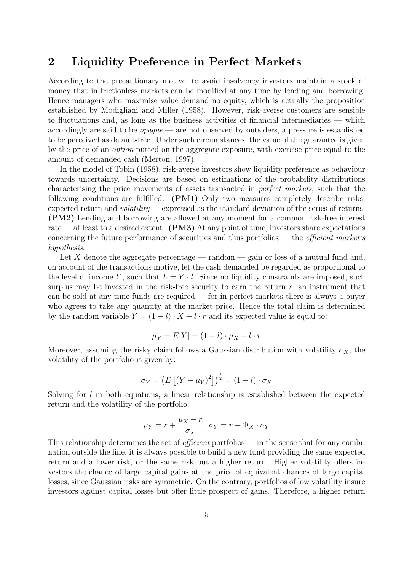#### 2 Liquidity Preference in Perfect Markets

According to the precautionary motive, to avoid insolvency investors maintain a stock of money that in frictionless markets can be modified at any time by lending and borrowing. Hence managers who maximise value demand no equity, which is actually the proposition established by Modigliani and Miller (1958). However, risk-averse customers are sensible to fluctuations and, as long as the business activities of financial intermediaries — which accordingly are said to be  $\textit{opaque}$  — are not observed by outsiders, a pressure is established to be perceived as default-free. Under such circumstances, the value of the guarantee is given by the price of an option putted on the aggregate exposure, with exercise price equal to the amount of demanded cash (Merton, 1997).

In the model of Tobin (1958), risk-averse investors show liquidity preference as behaviour towards uncertainty. Decisions are based on estimations of the probability distributions characterising the price movements of assets transacted in perfect markets, such that the following conditions are fulfilled. (PM1) Only two measures completely describe risks: expected return and *volatility* — expressed as the standard deviation of the series of returns. (PM2) Lending and borrowing are allowed at any moment for a common risk-free interest rate — at least to a desired extent. **(PM3)** At any point of time, investors share expectations concerning the future performance of securities and thus portfolios — the *efficient market's* hypothesis.

Let X denote the aggregate percentage — random — gain or loss of a mutual fund and. on account of the transactions motive, let the cash demanded be regarded as proportional to the level of income  $\overline{Y}$ , such that  $L = \overline{Y} \cdot l$ . Since no liquidity constraints are imposed, such surplus may be invested in the risk-free security to earn the return  $r$ , an instrument that can be sold at any time funds are required — for in perfect markets there is always a buyer who agrees to take any quantity at the market price. Hence the total claim is determined by the random variable  $Y = (1 - l) \cdot X + l \cdot r$  and its expected value is equal to:

$$
\mu_Y = E[Y] = (1 - l) \cdot \mu_X + l \cdot r
$$

Moreover, assuming the risky claim follows a Gaussian distribution with volatility  $\sigma_X$ , the volatility of the portfolio is given by:

$$
\sigma_Y = \left( E\left[ (Y - \mu_Y)^2 \right] \right)^{\frac{1}{2}} = (1 - l) \cdot \sigma_X
$$

Solving for  $l$  in both equations, a linear relationship is established between the expected return and the volatility of the portfolio:

$$
\mu_Y = r + \frac{\mu_X - r}{\sigma_X} \cdot \sigma_Y = r + \Psi_X \cdot \sigma_Y
$$

This relationship determines the set of *efficient* portfolios — in the sense that for any combination outside the line, it is always possible to build a new fund providing the same expected return and a lower risk, or the same risk but a higher return. Higher volatility offers investors the chance of large capital gains at the price of equivalent chances of large capital losses, since Gaussian risks are symmetric. On the contrary, portfolios of low volatility insure investors against capital losses but offer little prospect of gains. Therefore, a higher return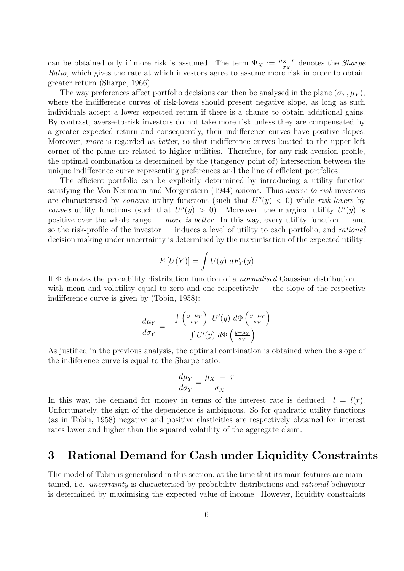can be obtained only if more risk is assumed. The term  $\Psi_X := \frac{\mu_X - r}{\sigma_Y}$  $\frac{X-r}{\sigma_X}$  denotes the *Sharpe* Ratio, which gives the rate at which investors agree to assume more risk in order to obtain greater return (Sharpe, 1966).

The way preferences affect portfolio decisions can then be analysed in the plane  $(\sigma_Y, \mu_Y)$ , where the indifference curves of risk-lovers should present negative slope, as long as such individuals accept a lower expected return if there is a chance to obtain additional gains. By contrast, averse-to-risk investors do not take more risk unless they are compensated by a greater expected return and consequently, their indifference curves have positive slopes. Moreover, more is regarded as better, so that indifference curves located to the upper left corner of the plane are related to higher utilities. Therefore, for any risk-aversion profile, the optimal combination is determined by the (tangency point of) intersection between the unique indifference curve representing preferences and the line of efficient portfolios.

The efficient portfolio can be explicitly determined by introducing a utility function satisfying the Von Neumann and Morgenstern (1944) axioms. Thus averse-to-risk investors are characterised by *concave* utility functions (such that  $U''(y) < 0$ ) while risk-lovers by convex utility functions (such that  $U''(y) > 0$ ). Moreover, the marginal utility  $U'(y)$  is positive over the whole range — more is better. In this way, every utility function — and so the risk-profile of the investor — induces a level of utility to each portfolio, and *rational* decision making under uncertainty is determined by the maximisation of the expected utility:

$$
E[U(Y)] = \int U(y) \, dF_Y(y)
$$

If  $\Phi$  denotes the probability distribution function of a *normalised* Gaussian distribution with mean and volatility equal to zero and one respectively  $-$  the slope of the respective indifference curve is given by (Tobin, 1958):

$$
\frac{d\mu_Y}{d\sigma_Y} = -\frac{\int \left(\frac{y-\mu_Y}{\sigma_Y}\right) U'(y) \ d\Phi \left(\frac{y-\mu_Y}{\sigma_Y}\right)}{\int U'(y) \ d\Phi \left(\frac{y-\mu_Y}{\sigma_Y}\right)}
$$

As justified in the previous analysis, the optimal combination is obtained when the slope of the indiference curve is equal to the Sharpe ratio:

$$
\frac{d\mu_Y}{d\sigma_Y} = \frac{\mu_X - r}{\sigma_X}
$$

In this way, the demand for money in terms of the interest rate is deduced:  $l = l(r)$ . Unfortunately, the sign of the dependence is ambiguous. So for quadratic utility functions (as in Tobin, 1958) negative and positive elasticities are respectively obtained for interest rates lower and higher than the squared volatility of the aggregate claim.

#### 3 Rational Demand for Cash under Liquidity Constraints

The model of Tobin is generalised in this section, at the time that its main features are maintained, i.e. uncertainty is characterised by probability distributions and rational behaviour is determined by maximising the expected value of income. However, liquidity constraints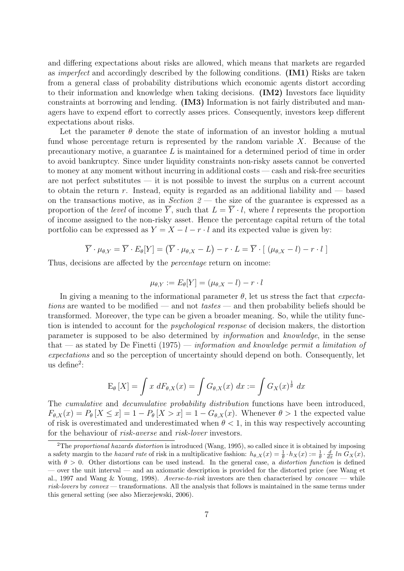and differing expectations about risks are allowed, which means that markets are regarded as imperfect and accordingly described by the following conditions. (IM1) Risks are taken from a general class of probability distributions which economic agents distort according to their information and knowledge when taking decisions. (IM2) Investors face liquidity constraints at borrowing and lending. (IM3) Information is not fairly distributed and managers have to expend effort to correctly asses prices. Consequently, investors keep different expectations about risks.

Let the parameter  $\theta$  denote the state of information of an investor holding a mutual fund whose percentage return is represented by the random variable X. Because of the precautionary motive, a guarantee L is maintained for a determined period of time in order to avoid bankruptcy. Since under liquidity constraints non-risky assets cannot be converted to money at any moment without incurring in additional costs — cash and risk-free securities are not perfect substitutes — it is not possible to invest the surplus on a current account to obtain the return  $r$ . Instead, equity is regarded as an additional liability and  $\sim$  based on the transactions motive, as in Section  $2$  — the size of the guarantee is expressed as a proportion of the level of income  $\overline{Y}$ , such that  $L = \overline{Y} \cdot l$ , where l represents the proportion of income assigned to the non-risky asset. Hence the percentage capital return of the total portfolio can be expressed as  $Y = X - l - r \cdot l$  and its expected value is given by:

$$
\overline{Y} \cdot \mu_{\theta, Y} = \overline{Y} \cdot E_{\theta}[Y] = (\overline{Y} \cdot \mu_{\theta, X} - L) - r \cdot L = \overline{Y} \cdot [(\mu_{\theta, X} - l) - r \cdot l]
$$

Thus, decisions are affected by the percentage return on income:

$$
\mu_{\theta,Y}:=E_{\theta}[Y]=(\mu_{\theta,X}-l)-r\cdot l
$$

In giving a meaning to the informational parameter  $\theta$ , let us stress the fact that *expecta*tions are wanted to be modified — and not tastes — and then probability beliefs should be transformed. Moreover, the type can be given a broader meaning. So, while the utility function is intended to account for the psychological response of decision makers, the distortion parameter is supposed to be also determined by information and knowledge, in the sense that — as stated by De Finetti  $(1975)$  — information and knowledge permit a limitation of expectations and so the perception of uncertainty should depend on both. Consequently, let us define<sup>2</sup>:

$$
\mathrm{E}_{\theta}\left[X\right] = \int x \; dF_{\theta,X}(x) = \int G_{\theta,X}(x) \; dx := \int G_X(x)^{\frac{1}{\theta}} \; dx
$$

The *cumulative* and *decumulative probability distribution* functions have been introduced,  $F_{\theta,X}(x) = P_{\theta}[X \leq x] = 1 - P_{\theta}[X > x] = 1 - G_{\theta,X}(x)$ . Whenever  $\theta > 1$  the expected value of risk is overestimated and underestimated when  $\theta < 1$ , in this way respectively accounting for the behaviour of risk-averse and risk-lover investors.

<sup>&</sup>lt;sup>2</sup>The proportional hazards distortion is introduced (Wang, 1995), so called since it is obtained by imposing a safety margin to the hazard rate of risk in a multiplicative fashion:  $h_{\theta,X}(x) = \frac{1}{\theta} \cdot h_X(x) := \frac{1}{\theta} \cdot \frac{d}{dx} \ln G_X(x)$ , with  $\theta > 0$ . Other distortions can be used instead. In the general case, a *distortion function* is defined — over the unit interval — and an axiomatic description is provided for the distorted price (see Wang et al., 1997 and Wang & Young, 1998). Averse-to-risk investors are then characterised by concave — while risk-lovers by convex — transformations. All the analysis that follows is maintained in the same terms under this general setting (see also Mierzejewski, 2006).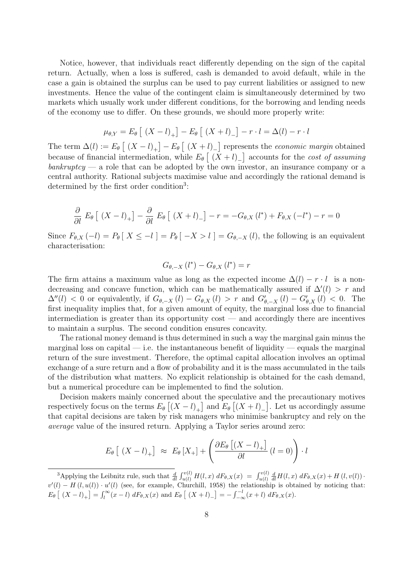Notice, however, that individuals react differently depending on the sign of the capital return. Actually, when a loss is suffered, cash is demanded to avoid default, while in the case a gain is obtained the surplus can be used to pay current liabilities or assigned to new investments. Hence the value of the contingent claim is simultaneously determined by two markets which usually work under different conditions, for the borrowing and lending needs of the economy use to differ. On these grounds, we should more properly write:

$$
\mu_{\theta,Y} = E_{\theta} \left[ (X - l)_{+} \right] - E_{\theta} \left[ (X + l)_{-} \right] - r \cdot l = \Delta(l) - r \cdot l
$$

The term  $\Delta(l) := E_{\theta} \left[ (X - l)_{+} \right] - E_{\theta} \left[ (X + l)_{-} \right]$  represents the *economic margin* obtained because of financial intermediation, while  $E_{\theta}$   $\left[ (X + l)_{-} \right]$  accounts for the *cost of assuming*  $\mathit{bankruptcy}$  — a role that can be adopted by the own investor, an insurance company or a central authority. Rational subjects maximise value and accordingly the rational demand is determined by the first order condition<sup>3</sup>:

$$
\frac{\partial}{\partial l} E_{\theta} \left[ (X - l)_{+} \right] - \frac{\partial}{\partial l} E_{\theta} \left[ (X + l)_{-} \right] - r = -G_{\theta, X} (l^{*}) + F_{\theta, X} (-l^{*}) - r = 0
$$

Since  $F_{\theta,X}(-l) = P_{\theta}[X \leq -l] = P_{\theta}[-X > l] = G_{\theta,-X}(l)$ , the following is an equivalent characterisation:

$$
G_{\theta,-X}(l^*) - G_{\theta,X}(l^*) = r
$$

The firm attains a maximum value as long as the expected income  $\Delta(l) - r \cdot l$  is a nondecreasing and concave function, which can be mathematically assured if  $\Delta'(l) > r$  and  $\Delta''(l) < 0$  or equivalently, if  $G_{\theta,-X}(l) - G_{\theta,X}(l) > r$  and  $G'_{\theta,-X}(l) - G'_{\theta,X}(l) < 0$ . The first inequality implies that, for a given amount of equity, the marginal loss due to financial intermediation is greater than its opportunity cost — and accordingly there are incentives to maintain a surplus. The second condition ensures concavity.

The rational money demand is thus determined in such a way the marginal gain minus the marginal loss on capital — i.e. the instantaneous benefit of liquidity — equals the marginal return of the sure investment. Therefore, the optimal capital allocation involves an optimal exchange of a sure return and a flow of probability and it is the mass accumulated in the tails of the distribution what matters. No explicit relationship is obtained for the cash demand, but a numerical procedure can be implemented to find the solution.

Decision makers mainly concerned about the speculative and the precautionary motives respectively focus on the terms  $E_{\theta}$   $[(X - l)_{+}]$  and  $E_{\theta}$   $[(X + l)_{-}]$ . Let us accordingly assume that capital decisions are taken by risk managers who minimise bankruptcy and rely on the average value of the insured return. Applying a Taylor series around zero:

$$
E_{\theta}\left[ (X - l)_{+} \right] \approx E_{\theta}\left[ X_{+} \right] + \left( \frac{\partial E_{\theta}\left[ (X - l)_{+} \right]}{\partial l}\left( l = 0 \right) \right) \cdot l
$$

<sup>&</sup>lt;sup>3</sup>Applying the Leibnitz rule, such that  $\frac{d}{dt} \int_{u(l)}^{v(l)} H(l,x) dF_{\theta,X}(x) = \int_{u(l)}^{v(l)} \frac{d}{dt} H(l,x) dF_{\theta,X}(x) + H(l,v(l))$  $v'(l) - H(l, u(l)) \cdot u'(l)$  (see, for example, Churchill, 1958) the relationship is obtained by noticing that:  $E_{\theta}\left[ (X - l)_{+} \right] = \int_{l}^{\infty} (x - l) dF_{\theta,X}(x)$  and  $E_{\theta}\left[ (X + l)_{-} \right] = -\int_{-\infty}^{-l} (x + l) dF_{\theta,X}(x)$ .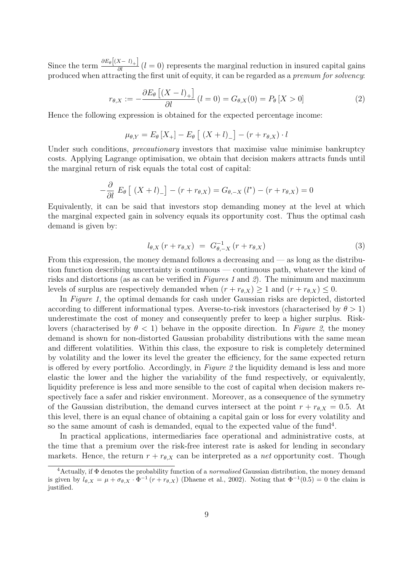Since the term  $\frac{\partial E_{\theta}[(X-1)_{+}]}{\partial l}$  (l = 0) represents the marginal reduction in insured capital gains produced when attracting the first unit of equity, it can be regarded as a premum for solvency:

$$
r_{\theta,X} := -\frac{\partial E_{\theta}\left[ (X - l)_{+} \right]}{\partial l} \left( l = 0 \right) = G_{\theta,X}(0) = P_{\theta}\left[ X > 0 \right] \tag{2}
$$

Hence the following expression is obtained for the expected percentage income:

$$
\mu_{\theta,Y} = E_{\theta}[X_{+}] - E_{\theta}[(X + l)_{-}] - (r + r_{\theta,X}) \cdot l
$$

Under such conditions, *precautionary* investors that maximise value minimise bankruptcy costs. Applying Lagrange optimisation, we obtain that decision makers attracts funds until the marginal return of risk equals the total cost of capital:

$$
-\frac{\partial}{\partial l} E_{\theta} \left[ \left( X + l \right)_{-} \right] - \left( r + r_{\theta,X} \right) = G_{\theta,-X} \left( l^{*} \right) - \left( r + r_{\theta,X} \right) = 0
$$

Equivalently, it can be said that investors stop demanding money at the level at which the marginal expected gain in solvency equals its opportunity cost. Thus the optimal cash demand is given by:

$$
l_{\theta,X}\left(r+r_{\theta,X}\right) = G_{\theta,-X}^{-1}\left(r+r_{\theta,X}\right) \tag{3}
$$

From this expression, the money demand follows a decreasing and — as long as the distribution function describing uncertainty is continuous — continuous path, whatever the kind of risks and distortions (as as can be verified in Figures 1 and 2). The minimum and maximum levels of surplus are respectively demanded when  $(r + r_{\theta,X}) \ge 1$  and  $(r + r_{\theta,X}) \le 0$ .

In Figure 1, the optimal demands for cash under Gaussian risks are depicted, distorted according to different informational types. Averse-to-risk investors (characterised by  $\theta > 1$ ) underestimate the cost of money and consequently prefer to keep a higher surplus. Risklovers (characterised by  $\theta < 1$ ) behave in the opposite direction. In Figure 2, the money demand is shown for non-distorted Gaussian probability distributions with the same mean and different volatilities. Within this class, the exposure to risk is completely determined by volatility and the lower its level the greater the efficiency, for the same expected return is offered by every portfolio. Accordingly, in Figure 2 the liquidity demand is less and more elastic the lower and the higher the variability of the fund respectively, or equivalently, liquidity preference is less and more sensible to the cost of capital when decision makers respectively face a safer and riskier environment. Moreover, as a consequence of the symmetry of the Gaussian distribution, the demand curves intersect at the point  $r + r_{\theta,X} = 0.5$ . At this level, there is an equal chance of obtaining a capital gain or loss for every volatility and so the same amount of cash is demanded, equal to the expected value of the fund<sup>4</sup>.

In practical applications, intermediaries face operational and administrative costs, at the time that a premium over the risk-free interest rate is asked for lending in secondary markets. Hence, the return  $r + r_{\theta,X}$  can be interpreted as a *net* opportunity cost. Though

<sup>4</sup>Actually, if Φ denotes the probability function of a normalised Gaussian distribution, the money demand is given by  $l_{\theta,X} = \mu + \sigma_{\theta,X} \cdot \Phi^{-1}(r + r_{\theta,X})$  (Dhaene et al., 2002). Noting that  $\Phi^{-1}(0.5) = 0$  the claim is justified.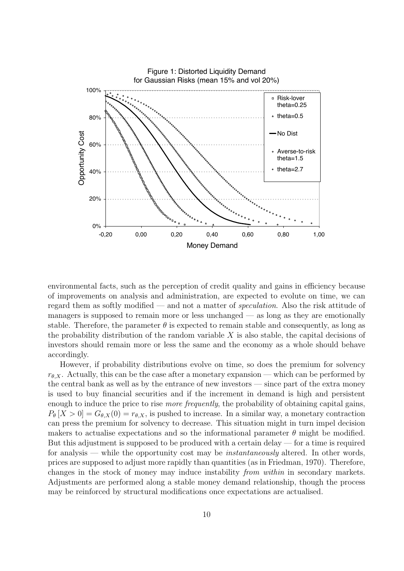

environmental facts, such as the perception of credit quality and gains in efficiency because of improvements on analysis and administration, are expected to evolute on time, we can regard them as softly modified — and not a matter of speculation. Also the risk attitude of managers is supposed to remain more or less unchanged — as long as they are emotionally stable. Therefore, the parameter  $\theta$  is expected to remain stable and consequently, as long as the probability distribution of the random variable  $X$  is also stable, the capital decisions of investors should remain more or less the same and the economy as a whole should behave accordingly.

However, if probability distributions evolve on time, so does the premium for solvency  $r_{\theta,X}$ . Actually, this can be the case after a monetary expansion — which can be performed by the central bank as well as by the entrance of new investors — since part of the extra money is used to buy financial securities and if the increment in demand is high and persistent enough to induce the price to rise *more frequently*, the probability of obtaining capital gains,  $P_{\theta}[X > 0] = G_{\theta,X}(0) = r_{\theta,X}$ , is pushed to increase. In a similar way, a monetary contraction can press the premium for solvency to decrease. This situation might in turn impel decision makers to actualise expectations and so the informational parameter  $\theta$  might be modified. But this adjustment is supposed to be produced with a certain delay — for a time is required for analysis — while the opportunity cost may be *instantaneously* altered. In other words, prices are supposed to adjust more rapidly than quantities (as in Friedman, 1970). Therefore, changes in the stock of money may induce instability from within in secondary markets. Adjustments are performed along a stable money demand relationship, though the process may be reinforced by structural modifications once expectations are actualised.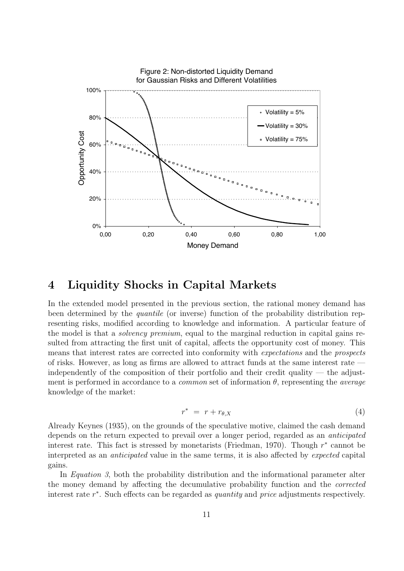

#### 4 Liquidity Shocks in Capital Markets

In the extended model presented in the previous section, the rational money demand has been determined by the quantile (or inverse) function of the probability distribution representing risks, modified according to knowledge and information. A particular feature of the model is that a solvency premium, equal to the marginal reduction in capital gains resulted from attracting the first unit of capital, affects the opportunity cost of money. This means that interest rates are corrected into conformity with expectations and the prospects of risks. However, as long as firms are allowed to attract funds at the same interest rate independently of the composition of their portfolio and their credit quality — the adjustment is performed in accordance to a *common* set of information  $\theta$ , representing the *average* knowledge of the market:

$$
r^* = r + r_{\theta,X} \tag{4}
$$

Already Keynes (1935), on the grounds of the speculative motive, claimed the cash demand depends on the return expected to prevail over a longer period, regarded as an anticipated interest rate. This fact is stressed by monetarists (Friedman, 1970). Though  $r^*$  cannot be interpreted as an anticipated value in the same terms, it is also affected by expected capital gains.

In *Equation 3*, both the probability distribution and the informational parameter alter the money demand by affecting the decumulative probability function and the corrected interest rate  $r^*$ . Such effects can be regarded as *quantity* and *price* adjustments respectively.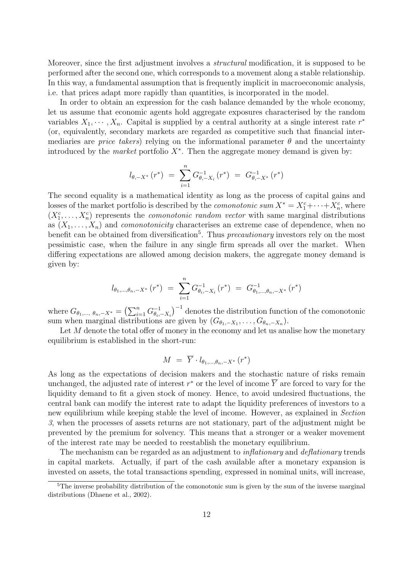Moreover, since the first adjustment involves a structural modification, it is supposed to be performed after the second one, which corresponds to a movement along a stable relationship. In this way, a fundamental assumption that is frequently implicit in macroeconomic analysis, i.e. that prices adapt more rapidly than quantities, is incorporated in the model.

In order to obtain an expression for the cash balance demanded by the whole economy, let us assume that economic agents hold aggregate exposures characterised by the random variables  $X_1, \dots, X_n$ . Capital is supplied by a central authority at a single interest rate  $r^*$ (or, equivalently, secondary markets are regarded as competitive such that financial intermediaries are *price takers*) relying on the informational parameter  $\theta$  and the uncertainty introduced by the *market* portfolio  $X^*$ . Then the aggregate money demand is given by:

$$
l_{\theta,-X^*}(r^*) = \sum_{i=1}^n G_{\theta,-X_i}^{-1}(r^*) = G_{\theta,-X^*}^{-1}(r^*)
$$

The second equality is a mathematical identity as long as the process of capital gains and losses of the market portfolio is described by the *comonotonic sum*  $X^* = X_1^c + \cdots + X_n^c$ , where  $(X_1^c, \ldots, X_n^c)$  represents the *comonotonic random vector* with same marginal distributions as  $(X_1, \ldots, X_n)$  and *comonotonicity* characterises an extreme case of dependence, when no benefit can be obtained from diversification<sup>5</sup>. Thus *precautionary* investors rely on the most pessimistic case, when the failure in any single firm spreads all over the market. When differing expectations are allowed among decision makers, the aggregate money demand is given by:

$$
l_{\theta_1,\dots,\theta_n,-X^*}(r^*) = \sum_{i=1}^n G_{\theta_i,-X_i}^{-1}(r^*) = G_{\theta_1,\dots,\theta_n,-X^*}^{-1}(r^*)
$$

where  $G_{\theta_1,..., \theta_n,-X^*} = \left(\sum_{i=1}^n G_{\theta_i}^{-1}\right)$  $\left(\begin{matrix} -1 \\ \theta_i, -X_i \end{matrix}\right)^{-1}$  denotes the distribution function of the comonotonic sum when marginal distributions are given by  $(G_{\theta_1,-X_1},\ldots,G_{\theta_n,-X_n})$ .

Let  $M$  denote the total offer of money in the economy and let us analise how the monetary equilibrium is established in the short-run:

$$
M = \overline{Y} \cdot l_{\theta_1, \dots, \theta_n, -X^*} (r^*)
$$

As long as the expectations of decision makers and the stochastic nature of risks remain unchanged, the adjusted rate of interest  $r^*$  or the level of income  $\overline{Y}$  are forced to vary for the liquidity demand to fit a given stock of money. Hence, to avoid undesired fluctuations, the central bank can modify the interest rate to adapt the liquidity preferences of investors to a new equilibrium while keeping stable the level of income. However, as explained in Section 3, when the processes of assets returns are not stationary, part of the adjustment might be prevented by the premium for solvency. This means that a stronger or a weaker movement of the interest rate may be needed to reestablish the monetary equilibrium.

The mechanism can be regarded as an adjustment to *inflationary* and *deflationary* trends in capital markets. Actually, if part of the cash available after a monetary expansion is invested on assets, the total transactions spending, expressed in nominal units, will increase,

 $5$ The inverse probability distribution of the comonotonic sum is given by the sum of the inverse marginal distributions (Dhaene et al., 2002).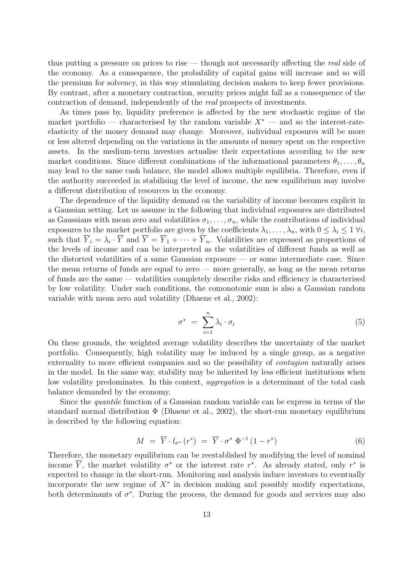thus putting a pressure on prices to rise — though not necessarily affecting the real side of the economy. As a consequence, the probability of capital gains will increase and so will the premium for solvency, in this way stimulating decision makers to keep fewer provisions. By contrast, after a monetary contraction, security prices might fall as a consequence of the contraction of demand, independently of the real prospects of investments.

As times pass by, liquidity preference is affected by the new stochastic regime of the market portfolio — characterised by the random variable  $X^*$  — and so the interest-rateelasticity of the money demand may change. Moreover, individual exposures will be more or less altered depending on the variations in the amounts of money spent on the respective assets. In the medium-term investors actualise their expectations according to the new market conditions. Since different combinations of the informational parameters  $\theta_1, \ldots, \theta_n$ may lead to the same cash balance, the model allows multiple equilibria. Therefore, even if the authority succeeded in stabilising the level of income, the new equilibrium may involve a different distribution of resources in the economy.

The dependence of the liquidity demand on the variability of income becomes explicit in a Gaussian setting. Let us assume in the following that individual exposures are distributed as Gaussians with mean zero and volatilities  $\sigma_1, \ldots, \sigma_n$ , while the contributions of individual exposures to the market portfolio are given by the coefficients  $\lambda_1, \ldots, \lambda_n$ , with  $0 \leq \lambda_i \leq 1 \ \forall i$ , such that  $Y_i = \lambda_i \cdot Y$  and  $Y = Y_1 + \cdots + Y_n$ . Volatilities are expressed as proportions of the levels of income and can be interpreted as the volatilities of different funds as well as the distorted volatilities of a same Gaussian exposure — or some intermediate case. Since the mean returns of funds are equal to zero — more generally, as long as the mean returns of funds are the same — volatilities completely describe risks and efficiency is characterised by low volatility. Under such conditions, the comonotonic sum is also a Gaussian random variable with mean zero and volatility (Dhaene et al., 2002):

$$
\sigma^* = \sum_{i=1}^n \lambda_i \cdot \sigma_i \tag{5}
$$

On these grounds, the weighted average volatility describes the uncertainty of the market portfolio. Consequently, high volatility may be induced by a single group, as a negative externality to more efficient companies and so the possibility of contagion naturally arises in the model. In the same way, stability may be inherited by less efficient institutions when low volatility predominates. In this context, aggregation is a determinant of the total cash balance demanded by the economy.

Since the quantile function of a Gaussian random variable can be express in terms of the standard normal distribution  $\Phi$  (Dhaene et al., 2002), the short-run monetary equilibrium is described by the following equation:

$$
M = \overline{Y} \cdot l_{\sigma^*} (r^*) = \overline{Y} \cdot \sigma^* \Phi^{-1} (1 - r^*)
$$
\n
$$
(6)
$$

Therefore, the monetary equilibrium can be reestablished by modifying the level of nominal income  $\overline{Y}$ , the market volatility  $\sigma^*$  or the interest rate  $r^*$ . As already stated, only  $r^*$  is expected to change in the short-run. Monitoring and analysis induce investors to eventually incorporate the new regime of  $X^*$  in decision making and possibly modify expectations, both determinants of  $\sigma^*$ . During the process, the demand for goods and services may also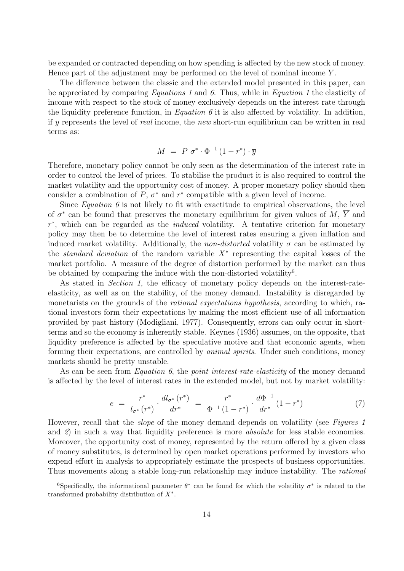be expanded or contracted depending on how spending is affected by the new stock of money. Hence part of the adjustment may be performed on the level of nominal income  $\overline{Y}$ .

The difference between the classic and the extended model presented in this paper, can be appreciated by comparing Equations 1 and 6. Thus, while in Equation 1 the elasticity of income with respect to the stock of money exclusively depends on the interest rate through the liquidity preference function, in Equation 6 it is also affected by volatility. In addition, if  $\bar{y}$  represents the level of *real* income, the *new* short-run equilibrium can be written in real terms as:

$$
M = P \sigma^* \cdot \Phi^{-1} (1 - r^*) \cdot \overline{y}
$$

Therefore, monetary policy cannot be only seen as the determination of the interest rate in order to control the level of prices. To stabilise the product it is also required to control the market volatility and the opportunity cost of money. A proper monetary policy should then consider a combination of  $P$ ,  $\sigma^*$  and  $r^*$  compatible with a given level of income.

Since *Equation 6* is not likely to fit with exactitude to empirical observations, the level of  $\sigma^*$  can be found that preserves the monetary equilibrium for given values of  $M$ ,  $\overline{Y}$  and  $r^*$ , which can be regarded as the *induced* volatility. A tentative criterion for monetary policy may then be to determine the level of interest rates ensuring a given inflation and induced market volatility. Additionally, the *non-distorted* volatility  $\sigma$  can be estimated by the *standard deviation* of the random variable  $X^*$  representing the capital losses of the market portfolio. A measure of the degree of distortion performed by the market can thus be obtained by comparing the induce with the non-distorted volatility<sup>6</sup>.

As stated in *Section 1*, the efficacy of monetary policy depends on the interest-rateelasticity, as well as on the stability, of the money demand. Instability is disregarded by monetarists on the grounds of the rational expectations hypothesis, according to which, rational investors form their expectations by making the most efficient use of all information provided by past history (Modigliani, 1977). Consequently, errors can only occur in shortterms and so the economy is inherently stable. Keynes (1936) assumes, on the opposite, that liquidity preference is affected by the speculative motive and that economic agents, when forming their expectations, are controlled by animal spirits. Under such conditions, money markets should be pretty unstable.

As can be seen from *Equation 6*, the *point interest-rate-elasticity* of the money demand is affected by the level of interest rates in the extended model, but not by market volatility:

$$
e = \frac{r^*}{l_{\sigma^*}(r^*)} \cdot \frac{dl_{\sigma^*}(r^*)}{dr^*} = \frac{r^*}{\Phi^{-1}(1-r^*)} \cdot \frac{d\Phi^{-1}}{dr^*}(1-r^*)
$$
(7)

However, recall that the *slope* of the money demand depends on volatility (see Figures 1) and 2) in such a way that liquidity preference is more absolute for less stable economies. Moreover, the opportunity cost of money, represented by the return offered by a given class of money substitutes, is determined by open market operations performed by investors who expend effort in analysis to appropriately estimate the prospects of business opportunities. Thus movements along a stable long-run relationship may induce instability. The *rational* 

<sup>&</sup>lt;sup>6</sup>Specifically, the informational parameter  $\theta^*$  can be found for which the volatility  $\sigma^*$  is related to the transformed probability distribution of  $X^*$ .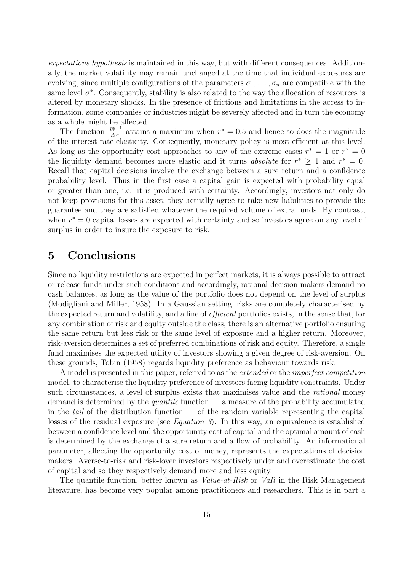expectations hypothesis is maintained in this way, but with different consequences. Additionally, the market volatility may remain unchanged at the time that individual exposures are evolving, since multiple configurations of the parameters  $\sigma_1, \ldots, \sigma_n$  are compatible with the same level  $\sigma^*$ . Consequently, stability is also related to the way the allocation of resources is altered by monetary shocks. In the presence of frictions and limitations in the access to information, some companies or industries might be severely affected and in turn the economy as a whole might be affected.

The function  $\frac{d\Phi^{-1}}{dr^*}$  attains a maximum when  $r^* = 0.5$  and hence so does the magnitude of the interest-rate-elasticity. Consequently, monetary policy is most efficient at this level. As long as the opportunity cost approaches to any of the extreme cases  $r^* = 1$  or  $r^* = 0$ the liquidity demand becomes more elastic and it turns *absolute* for  $r^* \geq 1$  and  $r^* = 0$ . Recall that capital decisions involve the exchange between a sure return and a confidence probability level. Thus in the first case a capital gain is expected with probability equal or greater than one, i.e. it is produced with certainty. Accordingly, investors not only do not keep provisions for this asset, they actually agree to take new liabilities to provide the guarantee and they are satisfied whatever the required volume of extra funds. By contrast, when  $r^* = 0$  capital losses are expected with certainty and so investors agree on any level of surplus in order to insure the exposure to risk.

#### 5 Conclusions

Since no liquidity restrictions are expected in perfect markets, it is always possible to attract or release funds under such conditions and accordingly, rational decision makers demand no cash balances, as long as the value of the portfolio does not depend on the level of surplus (Modigliani and Miller, 1958). In a Gaussian setting, risks are completely characterised by the expected return and volatility, and a line of efficient portfolios exists, in the sense that, for any combination of risk and equity outside the class, there is an alternative portfolio ensuring the same return but less risk or the same level of exposure and a higher return. Moreover, risk-aversion determines a set of preferred combinations of risk and equity. Therefore, a single fund maximises the expected utility of investors showing a given degree of risk-aversion. On these grounds, Tobin (1958) regards liquidity preference as behaviour towards risk.

A model is presented in this paper, referred to as the extended or the imperfect competition model, to characterise the liquidity preference of investors facing liquidity constraints. Under such circumstances, a level of surplus exists that maximises value and the rational money demand is determined by the *quantile* function — a measure of the probability accumulated in the tail of the distribution function — of the random variable representing the capital losses of the residual exposure (see *Equation 3*). In this way, an equivalence is established between a confidence level and the opportunity cost of capital and the optimal amount of cash is determined by the exchange of a sure return and a flow of probability. An informational parameter, affecting the opportunity cost of money, represents the expectations of decision makers. Averse-to-risk and risk-lover investors respectively under and overestimate the cost of capital and so they respectively demand more and less equity.

The quantile function, better known as *Value-at-Risk* or *VaR* in the Risk Management literature, has become very popular among practitioners and researchers. This is in part a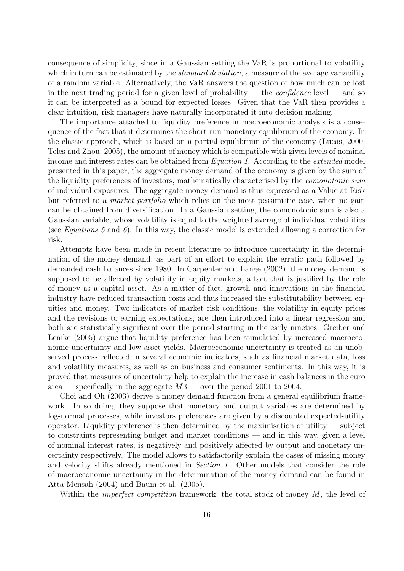consequence of simplicity, since in a Gaussian setting the VaR is proportional to volatility which in turn can be estimated by the *standard deviation*, a measure of the average variability of a random variable. Alternatively, the VaR answers the question of how much can be lost in the next trading period for a given level of probability — the *confidence* level — and so it can be interpreted as a bound for expected losses. Given that the VaR then provides a clear intuition, risk managers have naturally incorporated it into decision making.

The importance attached to liquidity preference in macroeconomic analysis is a consequence of the fact that it determines the short-run monetary equilibrium of the economy. In the classic approach, which is based on a partial equilibrium of the economy (Lucas, 2000; Teles and Zhou, 2005), the amount of money which is compatible with given levels of nominal income and interest rates can be obtained from *Equation 1.* According to the *extended* model presented in this paper, the aggregate money demand of the economy is given by the sum of the liquidity preferences of investors, mathematically characterised by the comonotonic sum of individual exposures. The aggregate money demand is thus expressed as a Value-at-Risk but referred to a market portfolio which relies on the most pessimistic case, when no gain can be obtained from diversification. In a Gaussian setting, the comonotonic sum is also a Gaussian variable, whose volatility is equal to the weighted average of individual volatilities (see *Equations* 5 and 6). In this way, the classic model is extended allowing a correction for risk.

Attempts have been made in recent literature to introduce uncertainty in the determination of the money demand, as part of an effort to explain the erratic path followed by demanded cash balances since 1980. In Carpenter and Lange (2002), the money demand is supposed to be affected by volatility in equity markets, a fact that is justified by the role of money as a capital asset. As a matter of fact, growth and innovations in the financial industry have reduced transaction costs and thus increased the substitutability between equities and money. Two indicators of market risk conditions, the volatility in equity prices and the revisions to earning expectations, are then introduced into a linear regression and both are statistically significant over the period starting in the early nineties. Greiber and Lemke (2005) argue that liquidity preference has been stimulated by increased macroeconomic uncertainty and low asset yields. Macroeconomic uncertainty is treated as an unobserved process reflected in several economic indicators, such as financial market data, loss and volatility measures, as well as on business and consumer sentiments. In this way, it is proved that measures of uncertainty help to explain the increase in cash balances in the euro area — specifically in the aggregate  $M3$  — over the period 2001 to 2004.

Choi and Oh (2003) derive a money demand function from a general equilibrium framework. In so doing, they suppose that monetary and output variables are determined by log-normal processes, while investors preferences are given by a discounted expected-utility operator. Liquidity preference is then determined by the maximisation of utility  $-$  subject to constraints representing budget and market conditions — and in this way, given a level of nominal interest rates, is negatively and positively affected by output and monetary uncertainty respectively. The model allows to satisfactorily explain the cases of missing money and velocity shifts already mentioned in Section 1. Other models that consider the role of macroeconomic uncertainty in the determination of the money demand can be found in Atta-Mensah (2004) and Baum et al. (2005).

Within the *imperfect competition* framework, the total stock of money  $M$ , the level of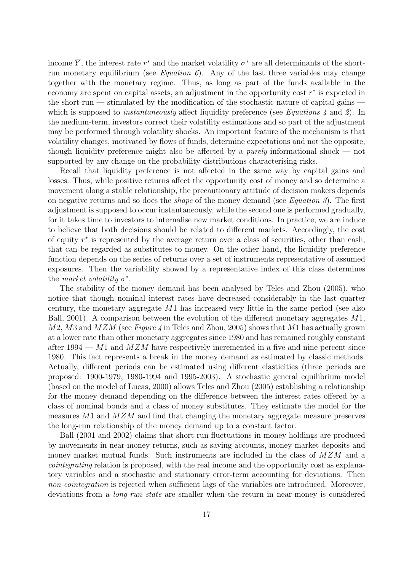income  $\overline{Y}$ , the interest rate  $r^*$  and the market volatility  $\sigma^*$  are all determinants of the shortrun monetary equilibrium (see *Equation 6*). Any of the last three variables may change together with the monetary regime. Thus, as long as part of the funds available in the economy are spent on capital assets, an adjustment in the opportunity cost  $r^*$  is expected in the short-run — stimulated by the modification of the stochastic nature of capital gains which is supposed to *instantaneously* affect liquidity preference (see Equations  $\lambda$  and  $\ell$ ). In the medium-term, investors correct their volatility estimations and so part of the adjustment may be performed through volatility shocks. An important feature of the mechanism is that volatility changes, motivated by flows of funds, determine expectations and not the opposite, though liquidity preference might also be affected by a *purely* informational shock — not supported by any change on the probability distributions characterising risks.

Recall that liquidity preference is not affected in the same way by capital gains and losses. Thus, while positive returns affect the opportunity cost of money and so determine a movement along a stable relationship, the precautionary attitude of decision makers depends on negative returns and so does the *shape* of the money demand (see *Equation 3*). The first adjustment is supposed to occur instantaneously, while the second one is performed gradually, for it takes time to investors to internalise new market conditions. In practice, we are induce to believe that both decisions should be related to different markets. Accordingly, the cost of equity  $r^*$  is represented by the average return over a class of securities, other than cash, that can be regarded as substitutes to money. On the other hand, the liquidity preference function depends on the series of returns over a set of instruments representative of assumed exposures. Then the variability showed by a representative index of this class determines the market volatility  $\sigma^*$ .

The stability of the money demand has been analysed by Teles and Zhou (2005), who notice that though nominal interest rates have decreased considerably in the last quarter century, the monetary aggregate  $M1$  has increased very little in the same period (see also Ball, 2001). A comparison between the evolution of the different monetary aggregates M1,  $M2$ ,  $M3$  and  $MZM$  (see Figure 4 in Teles and Zhou, 2005) shows that M1 has actually grown at a lower rate than other monetary aggregates since 1980 and has remained roughly constant after 1994 — M1 and  $MZM$  have respectively incremented in a five and nine percent since 1980. This fact represents a break in the money demand as estimated by classic methods. Actually, different periods can be estimated using different elasticities (three periods are proposed: 1900-1979, 1980-1994 and 1995-2003). A stochastic general equilibrium model (based on the model of Lucas, 2000) allows Teles and Zhou (2005) establishing a relationship for the money demand depending on the difference between the interest rates offered by a class of nominal bonds and a class of money substitutes. They estimate the model for the measures  $M1$  and  $MZM$  and find that changing the monetary aggregate measure preserves the long-run relationship of the money demand up to a constant factor.

Ball (2001 and 2002) claims that short-run fluctuations in money holdings are produced by movements in near-money returns, such as saving accounts, money market deposits and money market mutual funds. Such instruments are included in the class of  $MZM$  and a cointegrating relation is proposed, with the real income and the opportunity cost as explanatory variables and a stochastic and stationary error-term accounting for deviations. Then non-cointegration is rejected when sufficient lags of the variables are introduced. Moreover, deviations from a *long-run state* are smaller when the return in near-money is considered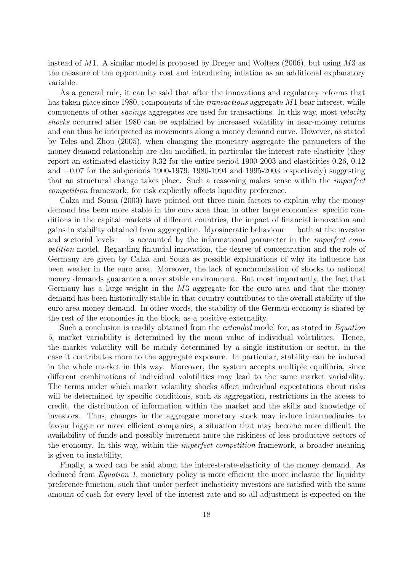instead of  $M1$ . A similar model is proposed by Dreger and Wolters (2006), but using  $M3$  as the measure of the opportunity cost and introducing inflation as an additional explanatory variable.

As a general rule, it can be said that after the innovations and regulatory reforms that has taken place since 1980, components of the *transactions* aggregate M1 bear interest, while components of other savings aggregates are used for transactions. In this way, most velocity shocks occurred after 1980 can be explained by increased volatility in near-money returns and can thus be interpreted as movements along a money demand curve. However, as stated by Teles and Zhou (2005), when changing the monetary aggregate the parameters of the money demand relationship are also modified, in particular the interest-rate-elasticity (they report an estimated elasticity 0.32 for the entire period 1900-2003 and elasticities 0.26, 0.12 and −0.07 for the subperiods 1900-1979, 1980-1994 and 1995-2003 respectively) suggesting that an structural change takes place. Such a reasoning makes sense within the imperfect competition framework, for risk explicitly affects liquidity preference.

Calza and Sousa (2003) have pointed out three main factors to explain why the money demand has been more stable in the euro area than in other large economies: specific conditions in the capital markets of different countries, the impact of financial innovation and gains in stability obtained from aggregation. Idyosincratic behaviour — both at the investor and sectorial levels — is accounted by the informational parameter in the *imperfect com*petition model. Regarding financial innovation, the degree of concentration and the role of Germany are given by Calza and Sousa as possible explanations of why its influence has been weaker in the euro area. Moreover, the lack of synchronisation of shocks to national money demands guarantee a more stable environment. But most importantly, the fact that Germany has a large weight in the M3 aggregate for the euro area and that the money demand has been historically stable in that country contributes to the overall stability of the euro area money demand. In other words, the stability of the German economy is shared by the rest of the economies in the block, as a positive externality.

Such a conclusion is readily obtained from the extended model for, as stated in Equation 5, market variability is determined by the mean value of individual volatilities. Hence, the market volatility will be mainly determined by a single institution or sector, in the case it contributes more to the aggregate exposure. In particular, stability can be induced in the whole market in this way. Moreover, the system accepts multiple equilibria, since different combinations of individual volatilities may lead to the same market variability. The terms under which market volatility shocks affect individual expectations about risks will be determined by specific conditions, such as aggregation, restrictions in the access to credit, the distribution of information within the market and the skills and knowledge of investors. Thus, changes in the aggregate monetary stock may induce intermediaries to favour bigger or more efficient companies, a situation that may become more difficult the availability of funds and possibly increment more the riskiness of less productive sectors of the economy. In this way, within the imperfect competition framework, a broader meaning is given to instability.

Finally, a word can be said about the interest-rate-elasticity of the money demand. As deduced from *Equation 1*, monetary policy is more efficient the more inelastic the liquidity preference function, such that under perfect inelasticity investors are satisfied with the same amount of cash for every level of the interest rate and so all adjustment is expected on the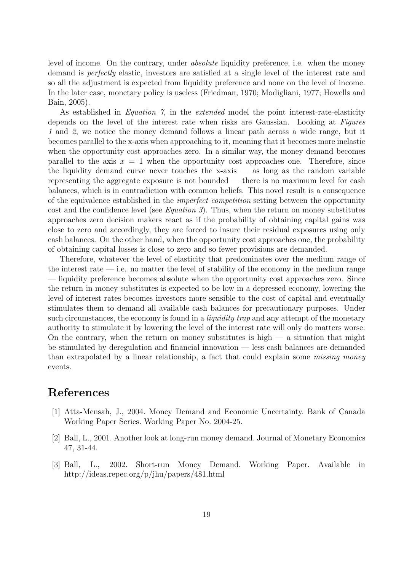level of income. On the contrary, under absolute liquidity preference, i.e. when the money demand is perfectly elastic, investors are satisfied at a single level of the interest rate and so all the adjustment is expected from liquidity preference and none on the level of income. In the later case, monetary policy is useless (Friedman, 1970; Modigliani, 1977; Howells and Bain, 2005).

As established in Equation 7, in the extended model the point interest-rate-elasticity depends on the level of the interest rate when risks are Gaussian. Looking at Figures 1 and 2, we notice the money demand follows a linear path across a wide range, but it becomes parallel to the x-axis when approaching to it, meaning that it becomes more inelastic when the opportunity cost approaches zero. In a similar way, the money demand becomes parallel to the axis  $x = 1$  when the opportunity cost approaches one. Therefore, since the liquidity demand curve never touches the x-axis  $-$  as long as the random variable representing the aggregate exposure is not bounded — there is no maximum level for cash balances, which is in contradiction with common beliefs. This novel result is a consequence of the equivalence established in the imperfect competition setting between the opportunity cost and the confidence level (see *Equation 3*). Thus, when the return on money substitutes approaches zero decision makers react as if the probability of obtaining capital gains was close to zero and accordingly, they are forced to insure their residual exposures using only cash balances. On the other hand, when the opportunity cost approaches one, the probability of obtaining capital losses is close to zero and so fewer provisions are demanded.

Therefore, whatever the level of elasticity that predominates over the medium range of the interest rate  $-$  i.e. no matter the level of stability of the economy in the medium range — liquidity preference becomes absolute when the opportunity cost approaches zero. Since the return in money substitutes is expected to be low in a depressed economy, lowering the level of interest rates becomes investors more sensible to the cost of capital and eventually stimulates them to demand all available cash balances for precautionary purposes. Under such circumstances, the economy is found in a *liquidity trap* and any attempt of the monetary authority to stimulate it by lowering the level of the interest rate will only do matters worse. On the contrary, when the return on money substitutes is high  $-$  a situation that might be stimulated by deregulation and financial innovation — less cash balances are demanded than extrapolated by a linear relationship, a fact that could explain some missing money events.

### References

- [1] Atta-Mensah, J., 2004. Money Demand and Economic Uncertainty. Bank of Canada Working Paper Series. Working Paper No. 2004-25.
- [2] Ball, L., 2001. Another look at long-run money demand. Journal of Monetary Economics 47, 31-44.
- [3] Ball, L., 2002. Short-run Money Demand. Working Paper. Available in http://ideas.repec.org/p/jhu/papers/481.html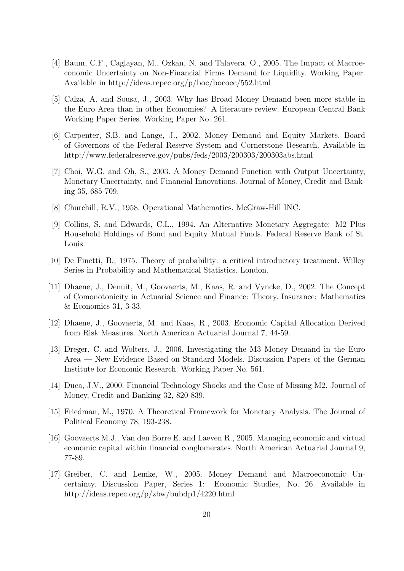- [4] Baum, C.F., Caglayan, M., Ozkan, N. and Talavera, O., 2005. The Impact of Macroeconomic Uncertainty on Non-Financial Firms Demand for Liquidity. Working Paper. Available in http://ideas.repec.org/p/boc/bocoec/552.html
- [5] Calza, A. and Sousa, J., 2003. Why has Broad Money Demand been more stable in the Euro Area than in other Economies? A literature review. European Central Bank Working Paper Series. Working Paper No. 261.
- [6] Carpenter, S.B. and Lange, J., 2002. Money Demand and Equity Markets. Board of Governors of the Federal Reserve System and Cornerstone Research. Available in http://www.federalreserve.gov/pubs/feds/2003/200303/200303abs.html
- [7] Choi, W.G. and Oh, S., 2003. A Money Demand Function with Output Uncertainty, Monetary Uncertainty, and Financial Innovations. Journal of Money, Credit and Banking 35, 685-709.
- [8] Churchill, R.V., 1958. Operational Mathematics. McGraw-Hill INC.
- [9] Collins, S. and Edwards, C.L., 1994. An Alternative Monetary Aggregate: M2 Plus Household Holdings of Bond and Equity Mutual Funds. Federal Reserve Bank of St. Louis.
- [10] De Finetti, B., 1975. Theory of probability: a critical introductory treatment. Willey Series in Probability and Mathematical Statistics. London.
- [11] Dhaene, J., Denuit, M., Goovaerts, M., Kaas, R. and Vyncke, D., 2002. The Concept of Comonotonicity in Actuarial Science and Finance: Theory. Insurance: Mathematics & Economics 31, 3-33.
- [12] Dhaene, J., Goovaerts, M. and Kaas, R., 2003. Economic Capital Allocation Derived from Risk Measures. North American Actuarial Journal 7, 44-59.
- [13] Dreger, C. and Wolters, J., 2006. Investigating the M3 Money Demand in the Euro Area — New Evidence Based on Standard Models. Discussion Papers of the German Institute for Economic Research. Working Paper No. 561.
- [14] Duca, J.V., 2000. Financial Technology Shocks and the Case of Missing M2. Journal of Money, Credit and Banking 32, 820-839.
- [15] Friedman, M., 1970. A Theoretical Framework for Monetary Analysis. The Journal of Political Economy 78, 193-238.
- [16] Goovaerts M.J., Van den Borre E. and Laeven R., 2005. Managing economic and virtual economic capital within financial conglomerates. North American Actuarial Journal 9, 77-89.
- [17] Greiber, C. and Lemke, W., 2005. Money Demand and Macroeconomic Uncertainty. Discussion Paper, Series 1: Economic Studies, No. 26. Available in http://ideas.repec.org/p/zbw/bubdp1/4220.html